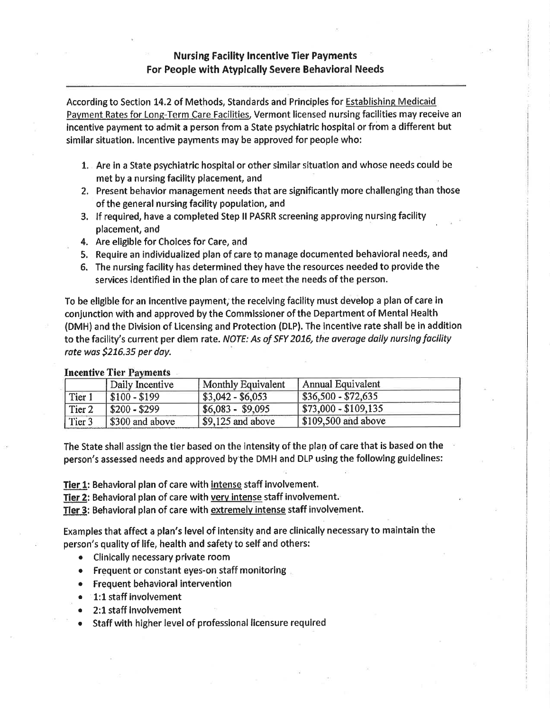## **Nursing Facility Incentive Tier Payments** For People with Atyplcally Severe Behavloral Needs

According to Section 14.2 of Methods, Standards and Principles for Establishing Medicaid Payment Rates for Long-Term Care Facilities, Vermont licensed nursing facilities may receive an incentive payment to admit a person from a State psychiatric hospital or from a different but simllar situation. lncentive payments may be approved for people who:

- t, Are in a State psychiatric hospital or other similar situation and whose needs could be met by a nursing facility placement, and
- 2. Present behavior management needs that are significantly more challenging than those of the general nursing facility population, and
- 3. lf requlred, have a completed Step ll PASRR screening approving nursing facility placement, and
- 4. Are eligible for Choices for Care, and
- 5, Require an individualized plan of çare to manage documented behavioral needs, and
- 6. The nursing facility has determined they have the resources needed to provide the services identified in the plan of care to meet the needs of the person.

To be eliglble for an Incentlve payment; the recelvlng faclllty must develop a plan of care ln conJunction with and approved by the Commlssioner of the Department of Mental Health (DMH) and the Division of Licensing and Protection (DLP). The incentive rate shall be in addition to the facility's current per diem rate. NOTE: As of SFY 2016, the average daily nursing facility rate wos 5216.35 per day.

| ARCORDIVO A IVI A GIVIDIONO |                 |                                 |                         |  |
|-----------------------------|-----------------|---------------------------------|-------------------------|--|
|                             | Daily Incentive | <b>Monthly Equivalent</b>       | Annual Equivalent       |  |
| Tier 1                      | $$100 - $199$   | $\sqrt{$3,042 - $6,053}$        | $$36,500 - $72,635$     |  |
| Tier <sub>2</sub>           | $$200 - $299$   | $  $6,083 - $9,095$             | $$73,000 - $109,135$    |  |
| Tier 3                      | \$300 and above | $\frac{1}{2}$ \$9,125 and above | $\$\,109,500$ and above |  |

## **Incentive Tier Payments**

The State shall assign the tier based on the intensity of the plan of care that is based on the person's assessed needs and approved by the DMH and DLP using the following guidelines:

Tier 1: Behavioral plan of care with intense staff lnvolvement.

Tier 2: Behavioral plan of care with very intense staff involvement.

Tier 3: Behavioral plan of care with extremely intense staff involvement.

Examples that affect a plan's level of lntensity and are clinically necessary to maintain the person's quality of life, health and safety to self and others:

- Clinically necessary private room
- **Frequent or constant eyes-on staff monitoring**
- **•** Frequent behavioral intervention
- $\bullet$   $\blacksquare$ 1:1 staff involvement
- 2:1 staff involvement
- Staff with higher level of professional licensure required